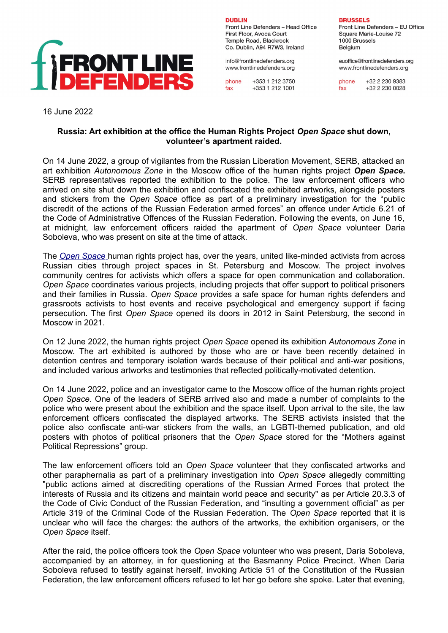

**DURLIN** Front Line Defenders - Head Office First Floor, Avoca Court Temple Road, Blackrock Co. Dublin, A94 R7W3, Ireland

info@frontlinedefenders.org www.frontlinedefenders.org

 $+353$  1 212 3750 phone  $fax$ +353 1 212 1001

**BRUSSELS** 

Front Line Defenders - EU Office Square Marie-Louise 72 1000 Brussels Belaium

euoffice@frontlinedefenders.org www.frontlinedefenders.org

phone  $+3222309383$ +32 2 230 0028 fax

16 June 2022

## **Russia: Art exhibition at the office the Human Rights Project** *Open Space* **shut down, volunteer's apartment raided.**

On 14 June 2022, a group of vigilantes from the Russian Liberation Movement, SERB, attacked an art exhibition *Autonomous Zone* in the Moscow office of the human rights project *Open Space***.** SERB representatives reported the exhibition to the police. The law enforcement officers who arrived on site shut down the exhibition and confiscated the exhibited artworks, alongside posters and stickers from the *Open Space* office as part of a preliminary investigation for the "public discredit of the actions of the Russian Federation armed forces" an offence under Article 6.21 of the Code of Administrative Offences of the Russian Federation. Following the events, on June 16, at midnight, law enforcement officers raided the apartment of *Open Space* volunteer Daria Soboleva, who was present on site at the time of attack.

The *[Open Space](https://www.frontlinedefenders.org/en/organization/open-space)* human rights project has, over the years, united like-minded activists from across Russian cities through project spaces in St. Petersburg and Moscow. The project involves community centres for activists which offers a space for open communication and collaboration. *Open Space* coordinates various projects, including projects that offer support to political prisoners and their families in Russia. *Open Space* provides a safe space for human rights defenders and grassroots activists to host events and receive psychological and emergency support if facing persecution. The first *Open Space* opened its doors in 2012 in Saint Petersburg, the second in Moscow in 2021.

On 12 June 2022, the human rights project *Open Space* opened its exhibition *Autonomous Zone* in Moscow. The art exhibited is authored by those who are or have been recently detained in detention centres and temporary isolation wards because of their political and anti-war positions, and included various artworks and testimonies that reflected politically-motivated detention.

On 14 June 2022, police and an investigator came to the Moscow office of the human rights project *Open Space*. One of the leaders of SERB arrived also and made a number of complaints to the police who were present about the exhibition and the space itself. Upon arrival to the site, the law enforcement officers confiscated the displayed artworks. The SERB activists insisted that the police also confiscate anti-war stickers from the walls, an LGBTI-themed publication, and old posters with photos of political prisoners that the *Open Space* stored for the "Mothers against Political Repressions" group.

The law enforcement officers told an *Open Space* volunteer that they confiscated artworks and other paraphernalia as part of a preliminary investigation into *Open Space* allegedly committing "public actions aimed at discrediting operations of the Russian Armed Forces that protect the interests of Russia and its citizens and maintain world peace and security" as per Article 20.3.3 of the Code of Civic Conduct of the Russian Federation, and "insulting a government official" as per Article 319 of the Criminal Code of the Russian Federation. The *Open Space* reported that it is unclear who will face the charges: the authors of the artworks, the exhibition organisers, or the *Open Space* itself.

After the raid, the police officers took the *Open Space* volunteer who was present, Daria Soboleva, accompanied by an attorney, in for questioning at the Basmanny Police Precinct. When Daria Soboleva refused to testify against herself, invoking Article 51 of the Constitution of the Russian Federation, the law enforcement officers refused to let her go before she spoke. Later that evening,